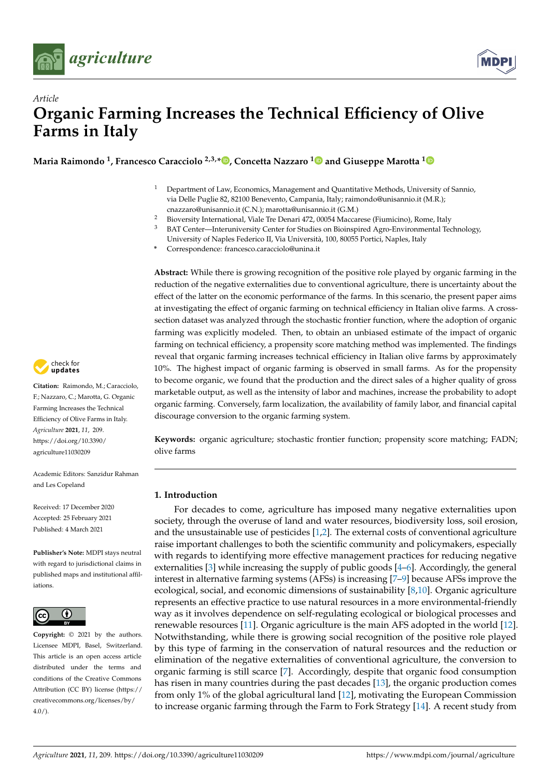



# *Article* **Organic Farming Increases the Technical Efficiency of Olive Farms in Italy**

**Maria Raimondo <sup>1</sup> , Francesco Caracciolo 2,3,\* [,](https://orcid.org/0000-0001-9430-7529) Concetta Nazzaro [1](https://orcid.org/0000-0003-1616-9567) and Giuseppe Marotta [1](https://orcid.org/0000-0003-4492-7273)**

- <sup>1</sup> Department of Law, Economics, Management and Quantitative Methods, University of Sannio, via Delle Puglie 82, 82100 Benevento, Campania, Italy; raimondo@unisannio.it (M.R.); cnazzaro@unisannio.it (C.N.); marotta@unisannio.it (G.M.)
- 2 Bioversity International, Viale Tre Denari 472, 00054 Maccarese (Fiumicino), Rome, Italy<br>3 BAT Center—Interupiversity Center for Studies on Bioinspired Agro-Environmental Teo
- <sup>3</sup> BAT Center—Interuniversity Center for Studies on Bioinspired Agro-Environmental Technology, University of Naples Federico II, Via Università, 100, 80055 Portici, Naples, Italy
- **\*** Correspondence: francesco.caracciolo@unina.it

**Abstract:** While there is growing recognition of the positive role played by organic farming in the reduction of the negative externalities due to conventional agriculture, there is uncertainty about the effect of the latter on the economic performance of the farms. In this scenario, the present paper aims at investigating the effect of organic farming on technical efficiency in Italian olive farms. A crosssection dataset was analyzed through the stochastic frontier function, where the adoption of organic farming was explicitly modeled. Then, to obtain an unbiased estimate of the impact of organic farming on technical efficiency, a propensity score matching method was implemented. The findings reveal that organic farming increases technical efficiency in Italian olive farms by approximately 10%. The highest impact of organic farming is observed in small farms. As for the propensity to become organic, we found that the production and the direct sales of a higher quality of gross marketable output, as well as the intensity of labor and machines, increase the probability to adopt organic farming. Conversely, farm localization, the availability of family labor, and financial capital discourage conversion to the organic farming system.

**Keywords:** organic agriculture; stochastic frontier function; propensity score matching; FADN; olive farms

# **1. Introduction**

For decades to come, agriculture has imposed many negative externalities upon society, through the overuse of land and water resources, biodiversity loss, soil erosion, and the unsustainable use of pesticides [\[1](#page-11-0)[,2\]](#page-11-1). The external costs of conventional agriculture raise important challenges to both the scientific community and policymakers, especially with regards to identifying more effective management practices for reducing negative externalities [\[3\]](#page-11-2) while increasing the supply of public goods [\[4](#page-11-3)[–6\]](#page-11-4). Accordingly, the general interest in alternative farming systems (AFSs) is increasing [\[7](#page-11-5)[–9\]](#page-11-6) because AFSs improve the ecological, social, and economic dimensions of sustainability [\[8](#page-11-7)[,10\]](#page-11-8). Organic agriculture represents an effective practice to use natural resources in a more environmental-friendly way as it involves dependence on self-regulating ecological or biological processes and renewable resources [\[11\]](#page-11-9). Organic agriculture is the main AFS adopted in the world [\[12\]](#page-11-10). Notwithstanding, while there is growing social recognition of the positive role played by this type of farming in the conservation of natural resources and the reduction or elimination of the negative externalities of conventional agriculture, the conversion to organic farming is still scarce [\[7\]](#page-11-5). Accordingly, despite that organic food consumption has risen in many countries during the past decades [\[13\]](#page-11-11), the organic production comes from only 1% of the global agricultural land [\[12\]](#page-11-10), motivating the European Commission to increase organic farming through the Farm to Fork Strategy [\[14\]](#page-11-12). A recent study from



**Citation:** Raimondo, M.; Caracciolo, F.; Nazzaro, C.; Marotta, G. Organic Farming Increases the Technical Efficiency of Olive Farms in Italy. *Agriculture* **2021**, *11*, 209. [https://doi.org/10.3390/](https://doi.org/10.3390/agriculture11030209) [agriculture11030209](https://doi.org/10.3390/agriculture11030209)

Academic Editors: Sanzidur Rahman and Les Copeland

Received: 17 December 2020 Accepted: 25 February 2021 Published: 4 March 2021

**Publisher's Note:** MDPI stays neutral with regard to jurisdictional claims in published maps and institutional affiliations.



**Copyright:** © 2021 by the authors. Licensee MDPI, Basel, Switzerland. This article is an open access article distributed under the terms and conditions of the Creative Commons Attribution (CC BY) license (https:/[/](https://creativecommons.org/licenses/by/4.0/) [creativecommons.org/licenses/by/](https://creativecommons.org/licenses/by/4.0/)  $4.0/$ ).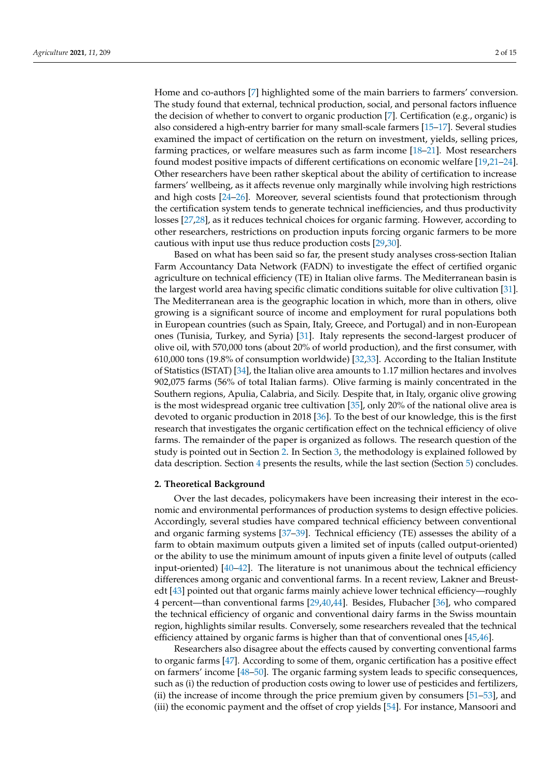Home and co-authors [\[7\]](#page-11-5) highlighted some of the main barriers to farmers' conversion. The study found that external, technical production, social, and personal factors influence the decision of whether to convert to organic production [\[7\]](#page-11-5). Certification (e.g., organic) is also considered a high-entry barrier for many small-scale farmers [\[15–](#page-11-13)[17\]](#page-11-14). Several studies examined the impact of certification on the return on investment, yields, selling prices, farming practices, or welfare measures such as farm income [\[18](#page-11-15)[–21\]](#page-11-16). Most researchers found modest positive impacts of different certifications on economic welfare [\[19,](#page-11-17)[21](#page-11-16)[–24\]](#page-11-18). Other researchers have been rather skeptical about the ability of certification to increase farmers' wellbeing, as it affects revenue only marginally while involving high restrictions and high costs [\[24](#page-11-18)[–26\]](#page-11-19). Moreover, several scientists found that protectionism through the certification system tends to generate technical inefficiencies, and thus productivity losses [\[27](#page-11-20)[,28\]](#page-12-0), as it reduces technical choices for organic farming. However, according to other researchers, restrictions on production inputs forcing organic farmers to be more cautious with input use thus reduce production costs [\[29,](#page-12-1)[30\]](#page-12-2).

Based on what has been said so far, the present study analyses cross-section Italian Farm Accountancy Data Network (FADN) to investigate the effect of certified organic agriculture on technical efficiency (TE) in Italian olive farms. The Mediterranean basin is the largest world area having specific climatic conditions suitable for olive cultivation [\[31\]](#page-12-3). The Mediterranean area is the geographic location in which, more than in others, olive growing is a significant source of income and employment for rural populations both in European countries (such as Spain, Italy, Greece, and Portugal) and in non-European ones (Tunisia, Turkey, and Syria) [\[31\]](#page-12-3). Italy represents the second-largest producer of olive oil, with 570,000 tons (about 20% of world production), and the first consumer, with 610,000 tons (19.8% of consumption worldwide) [\[32](#page-12-4)[,33\]](#page-12-5). According to the Italian Institute of Statistics (ISTAT) [\[34\]](#page-12-6), the Italian olive area amounts to 1.17 million hectares and involves 902,075 farms (56% of total Italian farms). Olive farming is mainly concentrated in the Southern regions, Apulia, Calabria, and Sicily. Despite that, in Italy, organic olive growing is the most widespread organic tree cultivation [\[35\]](#page-12-7), only 20% of the national olive area is devoted to organic production in 2018 [\[36\]](#page-12-8). To the best of our knowledge, this is the first research that investigates the organic certification effect on the technical efficiency of olive farms. The remainder of the paper is organized as follows. The research question of the study is pointed out in Section [2.](#page-1-0) In Section [3,](#page-2-0) the methodology is explained followed by data description. Section [4](#page-5-0) presents the results, while the last section (Section [5\)](#page-8-0) concludes.

## <span id="page-1-0"></span>**2. Theoretical Background**

Over the last decades, policymakers have been increasing their interest in the economic and environmental performances of production systems to design effective policies. Accordingly, several studies have compared technical efficiency between conventional and organic farming systems [\[37](#page-12-9)[–39\]](#page-12-10). Technical efficiency (TE) assesses the ability of a farm to obtain maximum outputs given a limited set of inputs (called output-oriented) or the ability to use the minimum amount of inputs given a finite level of outputs (called input-oriented) [\[40–](#page-12-11)[42\]](#page-12-12). The literature is not unanimous about the technical efficiency differences among organic and conventional farms. In a recent review, Lakner and Breustedt [\[43\]](#page-12-13) pointed out that organic farms mainly achieve lower technical efficiency—roughly 4 percent—than conventional farms [\[29,](#page-12-1)[40,](#page-12-11)[44\]](#page-12-14). Besides, Flubacher [\[36\]](#page-12-8), who compared the technical efficiency of organic and conventional dairy farms in the Swiss mountain region, highlights similar results. Conversely, some researchers revealed that the technical efficiency attained by organic farms is higher than that of conventional ones [\[45](#page-12-15)[,46\]](#page-12-16).

Researchers also disagree about the effects caused by converting conventional farms to organic farms [\[47\]](#page-12-17). According to some of them, organic certification has a positive effect on farmers' income [\[48](#page-12-18)[–50\]](#page-12-19). The organic farming system leads to specific consequences, such as (i) the reduction of production costs owing to lower use of pesticides and fertilizers, (ii) the increase of income through the price premium given by consumers [\[51](#page-12-20)[–53\]](#page-12-21), and (iii) the economic payment and the offset of crop yields [\[54\]](#page-12-22). For instance, Mansoori and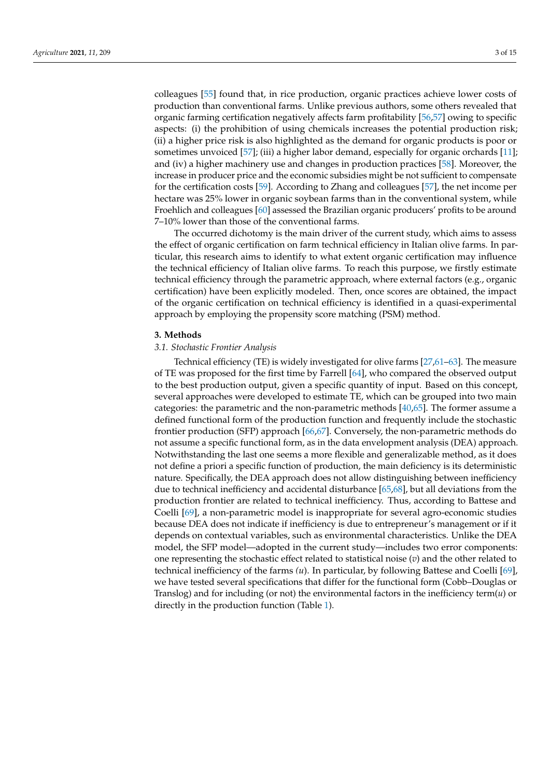colleagues [\[55\]](#page-12-23) found that, in rice production, organic practices achieve lower costs of production than conventional farms. Unlike previous authors, some others revealed that organic farming certification negatively affects farm profitability [\[56](#page-12-24)[,57\]](#page-12-25) owing to specific aspects: (i) the prohibition of using chemicals increases the potential production risk; (ii) a higher price risk is also highlighted as the demand for organic products is poor or sometimes unvoiced [\[57\]](#page-12-25); (iii) a higher labor demand, especially for organic orchards [\[11\]](#page-11-9); and (iv) a higher machinery use and changes in production practices [\[58\]](#page-12-26). Moreover, the increase in producer price and the economic subsidies might be not sufficient to compensate for the certification costs [\[59\]](#page-12-27). According to Zhang and colleagues [\[57\]](#page-12-25), the net income per hectare was 25% lower in organic soybean farms than in the conventional system, while Froehlich and colleagues [\[60\]](#page-13-0) assessed the Brazilian organic producers' profits to be around 7–10% lower than those of the conventional farms.

The occurred dichotomy is the main driver of the current study, which aims to assess the effect of organic certification on farm technical efficiency in Italian olive farms. In particular, this research aims to identify to what extent organic certification may influence the technical efficiency of Italian olive farms. To reach this purpose, we firstly estimate technical efficiency through the parametric approach, where external factors (e.g., organic certification) have been explicitly modeled. Then, once scores are obtained, the impact of the organic certification on technical efficiency is identified in a quasi-experimental approach by employing the propensity score matching (PSM) method.

#### <span id="page-2-0"></span>**3. Methods**

## *3.1. Stochastic Frontier Analysis*

Technical efficiency (TE) is widely investigated for olive farms [\[27](#page-11-20)[,61–](#page-13-1)[63\]](#page-13-2). The measure of TE was proposed for the first time by Farrell [\[64\]](#page-13-3), who compared the observed output to the best production output, given a specific quantity of input. Based on this concept, several approaches were developed to estimate TE, which can be grouped into two main categories: the parametric and the non-parametric methods [\[40](#page-12-11)[,65\]](#page-13-4). The former assume a defined functional form of the production function and frequently include the stochastic frontier production (SFP) approach [\[66,](#page-13-5)[67\]](#page-13-6). Conversely, the non-parametric methods do not assume a specific functional form, as in the data envelopment analysis (DEA) approach. Notwithstanding the last one seems a more flexible and generalizable method, as it does not define a priori a specific function of production, the main deficiency is its deterministic nature. Specifically, the DEA approach does not allow distinguishing between inefficiency due to technical inefficiency and accidental disturbance [\[65](#page-13-4)[,68\]](#page-13-7), but all deviations from the production frontier are related to technical inefficiency. Thus, according to Battese and Coelli [\[69\]](#page-13-8), a non-parametric model is inappropriate for several agro-economic studies because DEA does not indicate if inefficiency is due to entrepreneur's management or if it depends on contextual variables, such as environmental characteristics. Unlike the DEA model, the SFP model—adopted in the current study—includes two error components: one representing the stochastic effect related to statistical noise (*v*) and the other related to technical inefficiency of the farms *(u*). In particular, by following Battese and Coelli [\[69\]](#page-13-8), we have tested several specifications that differ for the functional form (Cobb–Douglas or Translog) and for including (or not) the environmental factors in the inefficiency term(*u*) or directly in the production function (Table [1\)](#page-3-0).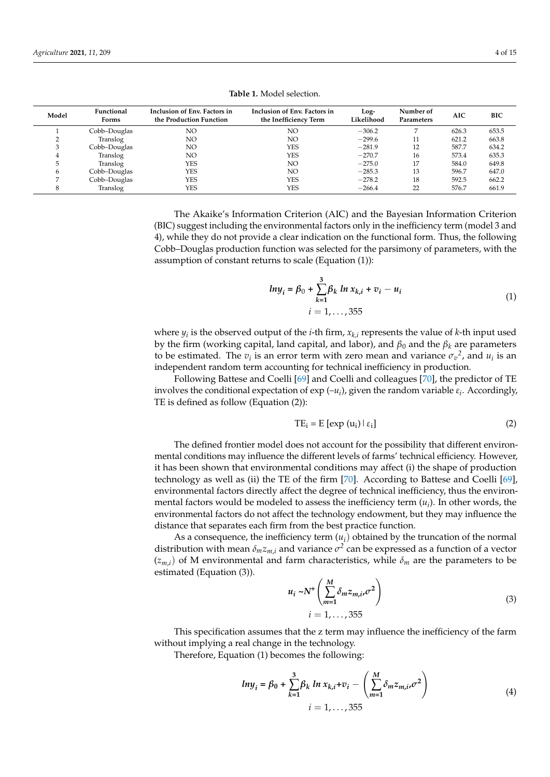|  |  | <b>Table 1.</b> Model selection. |  |
|--|--|----------------------------------|--|
|--|--|----------------------------------|--|

<span id="page-3-0"></span>

| Model | Functional<br>Forms | Inclusion of Env. Factors in<br>the Production Function | Inclusion of Env. Factors in<br>the Inefficiency Term | Log-<br>Likelihood | Number of<br>Parameters | <b>AIC</b> | BIC   |
|-------|---------------------|---------------------------------------------------------|-------------------------------------------------------|--------------------|-------------------------|------------|-------|
|       | Cobb-Douglas        | NO                                                      | NO.                                                   | $-306.2$           |                         | 626.3      | 653.5 |
|       | Translog            | NO                                                      | NO.                                                   | $-299.6$           | 11                      | 621.2      | 663.8 |
|       | Cobb-Douglas        | NO                                                      | YES                                                   | $-281.9$           | 12                      | 587.7      | 634.2 |
|       | Translog            | NO                                                      | YES                                                   | $-270.7$           | 16                      | 573.4      | 635.3 |
|       | Translog            | YES                                                     | NO.                                                   | $-275.0$           | 17                      | 584.0      | 649.8 |
| 6     | Cobb-Douglas        | YES                                                     | NO.                                                   | $-285.3$           | 13                      | 596.7      | 647.0 |
|       | Cobb-Douglas        | YES                                                     | YES                                                   | $-278.2$           | 18                      | 592.5      | 662.2 |
|       | Translog            | YES                                                     | YES                                                   | $-266.4$           | 22                      | 576.7      | 661.9 |

The Akaike's Information Criterion (AIC) and the Bayesian Information Criterion (BIC) suggest including the environmental factors only in the inefficiency term (model 3 and 4), while they do not provide a clear indication on the functional form. Thus, the following Cobb–Douglas production function was selected for the parsimony of parameters, with the assumption of constant returns to scale (Equation (1)):

$$
ln y_i = \beta_0 + \sum_{k=1}^{3} \beta_k ln x_{k,i} + v_i - u_i
$$
  
  $i = 1,...,355$  (1)

where *y<sup>i</sup>* is the observed output of the *i*-th firm, *xk,i* represents the value of *k*-th input used by the firm (working capital, land capital, and labor), and *β*<sup>0</sup> and the *β<sup>k</sup>* are parameters to be estimated. The  $v_i$  is an error term with zero mean and variance  $\sigma_v^2$ , and  $u_i$  is an independent random term accounting for technical inefficiency in production.

Following Battese and Coelli [\[69\]](#page-13-8) and Coelli and colleagues [\[70\]](#page-13-9), the predictor of TE involves the conditional expectation of exp (– $u_i$ ), given the random variable  $\varepsilon_i$ . Accordingly, TE is defined as follow (Equation (2)):

$$
TE_i = E [exp (u_i) | \varepsilon_i]
$$
 (2)

The defined frontier model does not account for the possibility that different environmental conditions may influence the different levels of farms' technical efficiency. However, it has been shown that environmental conditions may affect (i) the shape of production technology as well as (ii) the TE of the firm [\[70\]](#page-13-9). According to Battese and Coelli [\[69\]](#page-13-8), environmental factors directly affect the degree of technical inefficiency, thus the environmental factors would be modeled to assess the inefficiency term  $(u_i)$ . In other words, the environmental factors do not affect the technology endowment, but they may influence the distance that separates each firm from the best practice function.

As a consequence, the inefficiency term  $(u_i)$  obtained by the truncation of the normal distribution with mean  $\delta_m z_{m,i}$  and variance  $\sigma^2$  can be expressed as a function of a vector  $(z_{mi})$  of M environmental and farm characteristics, while  $\delta_m$  are the parameters to be estimated (Equation (3)).

$$
u_i \sim N^+ \left( \sum_{m=1}^{M} \delta_m z_{m,i}, \sigma^2 \right)
$$
  
 
$$
i = 1, \dots, 355
$$
 (3)

This specification assumes that the z term may influence the inefficiency of the farm without implying a real change in the technology.

Therefore, Equation (1) becomes the following:

$$
ln y_{i} = \beta_{0} + \sum_{k=1}^{3} \beta_{k} ln x_{k,i} + v_{i} - \left(\sum_{m=1}^{M} \delta_{m} z_{m,i}, \sigma^{2}\right)
$$
  
  $i = 1, ..., 355$  (4)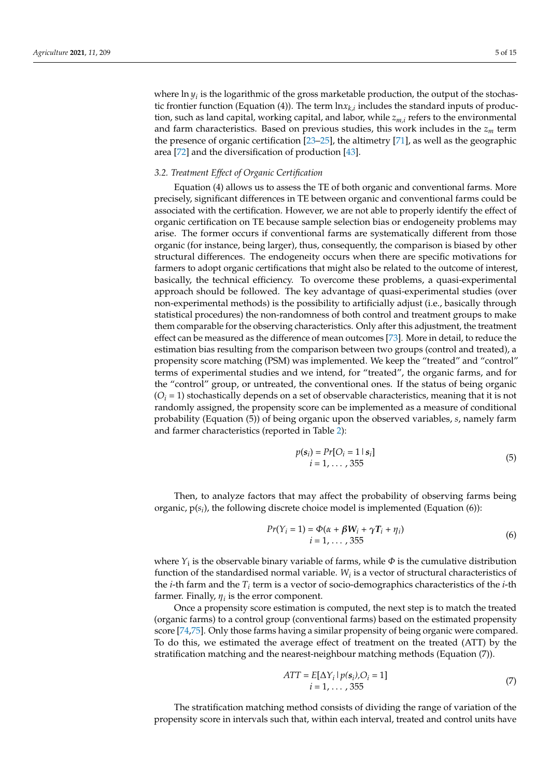where  $\ln y_i$  is the logarithmic of the gross marketable production, the output of the stochastic frontier function (Equation (4)). The term  $\ln x_{k,i}$  includes the standard inputs of production, such as land capital, working capital, and labor, while *zm,i* refers to the environmental and farm characteristics. Based on previous studies, this work includes in the *z<sup>m</sup>* term the presence of organic certification [\[23–](#page-11-21)[25\]](#page-11-22), the altimetry [\[71\]](#page-13-10), as well as the geographic area [\[72\]](#page-13-11) and the diversification of production [\[43\]](#page-12-13).

### *3.2. Treatment Effect of Organic Certification*

Equation (4) allows us to assess the TE of both organic and conventional farms. More precisely, significant differences in TE between organic and conventional farms could be associated with the certification. However, we are not able to properly identify the effect of organic certification on TE because sample selection bias or endogeneity problems may arise. The former occurs if conventional farms are systematically different from those organic (for instance, being larger), thus, consequently, the comparison is biased by other structural differences. The endogeneity occurs when there are specific motivations for farmers to adopt organic certifications that might also be related to the outcome of interest, basically, the technical efficiency. To overcome these problems, a quasi-experimental approach should be followed. The key advantage of quasi-experimental studies (over non-experimental methods) is the possibility to artificially adjust (i.e., basically through statistical procedures) the non-randomness of both control and treatment groups to make them comparable for the observing characteristics. Only after this adjustment, the treatment effect can be measured as the difference of mean outcomes [\[73\]](#page-13-12). More in detail, to reduce the estimation bias resulting from the comparison between two groups (control and treated), a propensity score matching (PSM) was implemented. We keep the "treated" and "control" terms of experimental studies and we intend, for "treated", the organic farms, and for the "control" group, or untreated, the conventional ones. If the status of being organic  $(O<sub>i</sub> = 1)$  stochastically depends on a set of observable characteristics, meaning that it is not randomly assigned, the propensity score can be implemented as a measure of conditional probability (Equation (5)) of being organic upon the observed variables, *s*, namely farm and farmer characteristics (reported in Table [2\)](#page-5-1):

$$
p(s_i) = Pr[O_i = 1 | s_i] i = 1, ..., 355
$$
 (5)

Then, to analyze factors that may affect the probability of observing farms being organic, p(*s<sup>i</sup>* ), the following discrete choice model is implemented (Equation (6)):

$$
Pr(Y_i = 1) = \Phi(\alpha + \beta W_i + \gamma T_i + \eta_i)
$$
  
\n
$$
i = 1, ..., 355
$$
 (6)

where *Y*<sup>i</sup> is the observable binary variable of farms, while *Φ* is the cumulative distribution function of the standardised normal variable. *W<sup>i</sup>* is a vector of structural characteristics of the *i*-th farm and the  $T_i$  term is a vector of socio-demographics characteristics of the *i*-th farmer. Finally,  $\eta_i$  is the error component.

Once a propensity score estimation is computed, the next step is to match the treated (organic farms) to a control group (conventional farms) based on the estimated propensity score [\[74,](#page-13-13)[75\]](#page-13-14). Only those farms having a similar propensity of being organic were compared. To do this, we estimated the average effect of treatment on the treated (ATT) by the stratification matching and the nearest-neighbour matching methods (Equation (7)).

$$
ATT = E[\Delta Y_i | p(s_i), O_i = 1]
$$
  

$$
i = 1, ..., 355
$$
 (7)

The stratification matching method consists of dividing the range of variation of the propensity score in intervals such that, within each interval, treated and control units have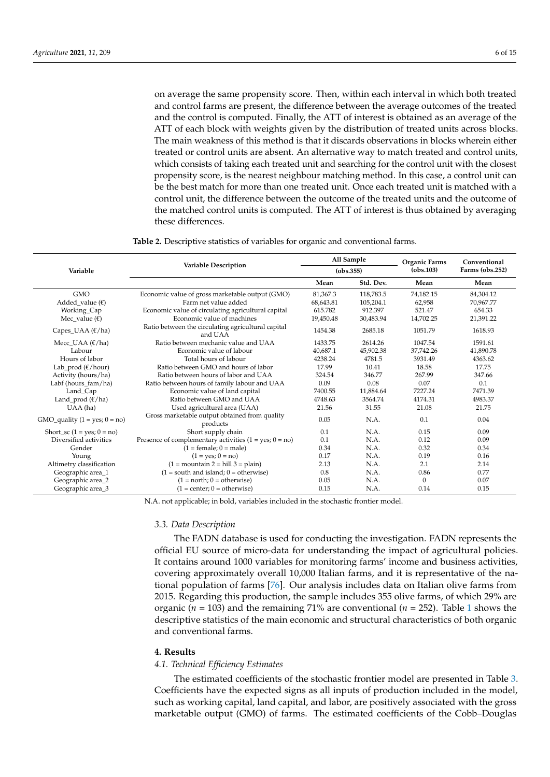on average the same propensity score. Then, within each interval in which both treated and control farms are present, the difference between the average outcomes of the treated and the control is computed. Finally, the ATT of interest is obtained as an average of the ATT of each block with weights given by the distribution of treated units across blocks. The main weakness of this method is that it discards observations in blocks wherein either treated or control units are absent. An alternative way to match treated and control units, which consists of taking each treated unit and searching for the control unit with the closest propensity score, is the nearest neighbour matching method. In this case, a control unit can be the best match for more than one treated unit. Once each treated unit is matched with a control unit, the difference between the outcome of the treated units and the outcome of the matched control units is computed. The ATT of interest is thus obtained by averaging these differences.

**Table 2.** Descriptive statistics of variables for organic and conventional farms.

<span id="page-5-1"></span>

|                                      |                                                               | All Sample<br>(obs.355) |           | Organic Farms | Conventional<br>Farms (obs.252) |  |
|--------------------------------------|---------------------------------------------------------------|-------------------------|-----------|---------------|---------------------------------|--|
| Variable                             | <b>Variable Description</b>                                   |                         |           | (obs.103)     |                                 |  |
|                                      |                                                               | Mean                    | Std. Dev. | Mean          | Mean                            |  |
| <b>GMO</b>                           | Economic value of gross marketable output (GMO)               | 81,367.3                | 118,783.5 | 74,182.15     | 84,304.12                       |  |
| Added value $(\epsilon)$             | Farm net value added                                          | 68,643.81               | 105,204.1 | 62,958        | 70,967.77                       |  |
| Working_Cap                          | Economic value of circulating agricultural capital            | 615.782                 | 912.397   | 521.47        | 654.33                          |  |
| Mec value $(\epsilon)$               | Economic value of machines                                    | 19,450.48               | 30,483.94 | 14,702.25     | 21,391.22                       |  |
| Capes_UAA $(\mathcal{E}/ha)$         | Ratio between the circulating agricultural capital<br>and UAA | 1454.38                 | 2685.18   | 1051.79       | 1618.93                         |  |
| Mecc_UAA $(\mathcal{E}/ha)$          | Ratio between mechanic value and UAA                          | 1433.75                 | 2614.26   | 1047.54       | 1591.61                         |  |
| Labour                               | Economic value of labour                                      | 40,687.1                | 45,902.38 | 37,742.26     | 41,890.78                       |  |
| Hours of labor                       | Total hours of labour                                         | 4238.24                 | 4781.5    | 3931.49       | 4363.62                         |  |
| Lab_prod $(\mathcal{E}/\text{hour})$ | Ratio between GMO and hours of labor                          | 17.99                   | 10.41     | 18.58         | 17.75                           |  |
| Activity (hours/ha)                  | Ratio between hours of labor and UAA                          | 324.54                  | 346.77    | 267.99        | 347.66                          |  |
| Labf (hours_fam/ha)                  | Ratio between hours of family labour and UAA                  | 0.09                    | 0.08      | 0.07          | 0.1                             |  |
| Land_Cap                             | Economic value of land capital                                | 7400.55                 | 11,884.64 | 7227.24       | 7471.39                         |  |
| Land_prod $(\frac{\epsilon}{ha})$    | Ratio between GMO and UAA                                     | 4748.63                 | 3564.74   | 4174.31       | 4983.37                         |  |
| UAA (ha)                             | Used agricultural area (UAA)                                  | 21.56                   | 31.55     | 21.08         | 21.75                           |  |
| $GMO$ _quality (1 = yes; 0 = no)     | Gross marketable output obtained from quality<br>products     | 0.05                    | N.A.      | 0.1           | 0.04                            |  |
| Short_sc $(1 = yes; 0 = no)$         | Short supply chain                                            | 0.1                     | N.A.      | 0.15          | 0.09                            |  |
| Diversified activities               | Presence of complementary activities $(1 = yes; 0 = no)$      | 0.1                     | N.A.      | 0.12          | 0.09                            |  |
| Gender                               | $(1 = female; 0 = male)$                                      | 0.34                    | N.A.      | 0.32          | 0.34                            |  |
| Young                                | $(1 = yes; 0 = no)$                                           | 0.17                    | N.A.      | 0.19          | 0.16                            |  |
| Altimetry classification             | $(1 =$ mountain $2 =$ hill $3 =$ plain)                       | 2.13                    | N.A.      | 2.1           | 2.14                            |  |
| Geographic area_1                    | $(1 = south and island; 0 = otherwise)$                       | 0.8                     | N.A.      | 0.86          | 0.77                            |  |
| Geographic area_2                    | $(1 = north; 0 = otherwise)$                                  | 0.05                    | N.A.      | $\mathbf{0}$  | 0.07                            |  |
| Geographic area_3                    | $(1 = center; 0 = otherwise)$                                 | 0.15                    | N.A.      | 0.14          | 0.15                            |  |

N.A. not applicable; in bold, variables included in the stochastic frontier model.

#### *3.3. Data Description*

The FADN database is used for conducting the investigation. FADN represents the official EU source of micro-data for understanding the impact of agricultural policies. It contains around 1000 variables for monitoring farms' income and business activities, covering approximately overall 10,000 Italian farms, and it is representative of the national population of farms [\[76\]](#page-13-15). Our analysis includes data on Italian olive farms from 2015. Regarding this production, the sample includes 355 olive farms, of which 29% are organic (*n* = 103) and the remaining 71% are conventional (*n* = 252). Table [1](#page-3-0) shows the descriptive statistics of the main economic and structural characteristics of both organic and conventional farms.

## <span id="page-5-0"></span>**4. Results**

## *4.1. Technical Efficiency Estimates*

The estimated coefficients of the stochastic frontier model are presented in Table [3.](#page-6-0) Coefficients have the expected signs as all inputs of production included in the model, such as working capital, land capital, and labor, are positively associated with the gross marketable output (GMO) of farms. The estimated coefficients of the Cobb–Douglas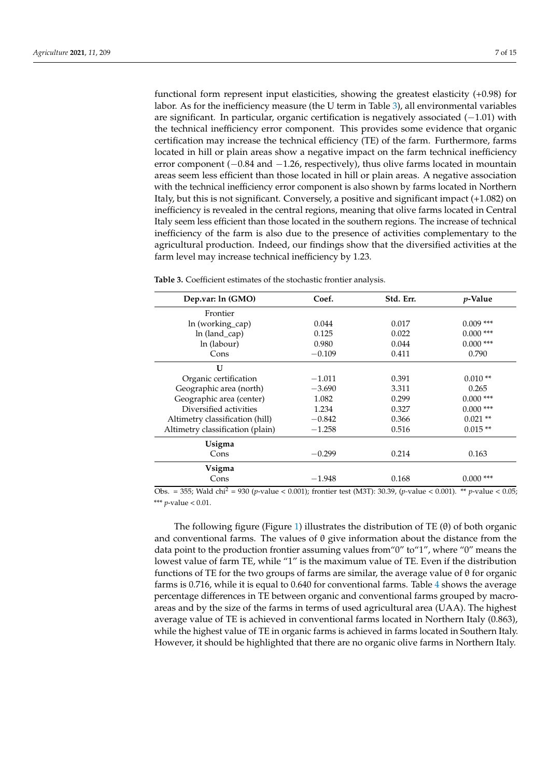functional form represent input elasticities, showing the greatest elasticity (+0.98) for labor. As for the inefficiency measure (the U term in Table [3\)](#page-6-0), all environmental variables are significant. In particular, organic certification is negatively associated (−1.01) with the technical inefficiency error component. This provides some evidence that organic certification may increase the technical efficiency (TE) of the farm. Furthermore, farms located in hill or plain areas show a negative impact on the farm technical inefficiency error component (−0.84 and −1.26, respectively), thus olive farms located in mountain areas seem less efficient than those located in hill or plain areas. A negative association with the technical inefficiency error component is also shown by farms located in Northern Italy, but this is not significant. Conversely, a positive and significant impact (+1.082) on inefficiency is revealed in the central regions, meaning that olive farms located in Central Italy seem less efficient than those located in the southern regions. The increase of technical inefficiency of the farm is also due to the presence of activities complementary to the agricultural production. Indeed, our findings show that the diversified activities at the farm level may increase technical inefficiency by 1.23.

| Dep.var: ln (GMO)                | Coef.    | Std. Err. | <i>p</i> -Value |
|----------------------------------|----------|-----------|-----------------|
| Frontier                         |          |           |                 |
| ln (working_cap)                 | 0.044    | 0.017     | $0.009$ ***     |
| ln (land_cap)                    | 0.125    | 0.022     | $0.000$ ***     |
| ln (labour)                      | 0.980    | 0.044     | $0.000$ ***     |
| Cons                             | $-0.109$ | 0.411     | 0.790           |
| $\mathbf{U}$                     |          |           |                 |
| Organic certification            | $-1.011$ | 0.391     | $0.010**$       |
| Geographic area (north)          | $-3.690$ | 3.311     | 0.265           |
| Geographic area (center)         | 1.082    | 0.299     | $0.000$ ***     |
| Diversified activities           | 1.234    | 0.327     | $0.000$ ***     |
| Altimetry classification (hill)  | $-0.842$ | 0.366     | $0.021$ **      |
| Altimetry classification (plain) | $-1.258$ | 0.516     | $0.015**$       |
| Usigma                           |          |           |                 |
| Cons                             | $-0.299$ | 0.214     | 0.163           |
| Vsigma                           |          |           |                 |
| Cons                             | $-1.948$ | 0.168     | $0.000$ ***     |

<span id="page-6-0"></span>**Table 3.** Coefficient estimates of the stochastic frontier analysis.

Obs. = 355; Wald chi<sup>2</sup> = 930 (*p*-value < 0.001); frontier test (M3T): 30.39, (*p-*value < 0.001). \*\* *p*-value < 0.05; \*\*\* *p*-value < 0.01.

The following figure (Figure [1\)](#page-7-0) illustrates the distribution of TE  $(\theta)$  of both organic and conventional farms. The values of  $\theta$  give information about the distance from the data point to the production frontier assuming values from"0" to"1", where "0" means the lowest value of farm TE, while "1" is the maximum value of TE. Even if the distribution functions of TE for the two groups of farms are similar, the average value of  $\theta$  for organic farms is 0.716, while it is equal to 0.640 for conventional farms. Table [4](#page-7-1) shows the average percentage differences in TE between organic and conventional farms grouped by macroareas and by the size of the farms in terms of used agricultural area (UAA). The highest average value of TE is achieved in conventional farms located in Northern Italy (0.863), while the highest value of TE in organic farms is achieved in farms located in Southern Italy. However, it should be highlighted that there are no organic olive farms in Northern Italy.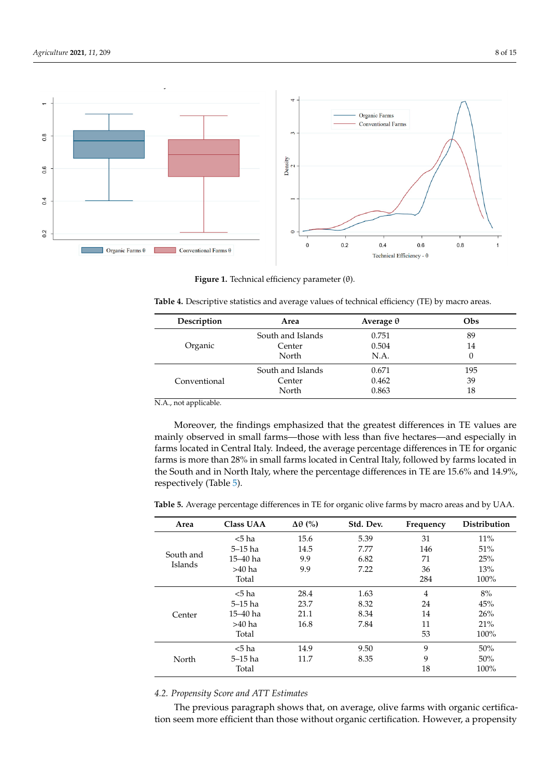<span id="page-7-0"></span>

**Figure 1.** Technical efficiency parameter (θ). **Figure 1.** Technical efficiency parameter (θ).

<span id="page-7-1"></span>

| Description  | Area              | Average $\theta$ | Obs |
|--------------|-------------------|------------------|-----|
|              | South and Islands | 0.751            | 89  |
| Organic      | Center            | 0.504            | 14  |
|              | North             | N.A.             | 0   |
|              | South and Islands | 0.671            | 195 |
| Conventional | Center            | 0.462            | 39  |
|              | North             | 0.863            | 18  |

N.A., not applicable.

Moreover, the findings emphasized that the greatest differences in TE values are mainly observed in small farms—those with less than five hectares—and especially in farms located in Central Italy. Indeed, the average percentage differences in TE for organic farms is more than 28% in small farms located in Central Italy, followed by farms located in the South and in North Italy, where the percentage differences in TE are 15.6% and 14.9%, respectively (Table [5\)](#page-7-2).

<span id="page-7-2"></span>**Table 5.** Average percentage differences in TE for organic olive farms by macro areas and by UAA.

| Area      | <b>Class UAA</b> | $\Delta\theta$ (%) | Std. Dev. | Frequency      | <b>Distribution</b> |
|-----------|------------------|--------------------|-----------|----------------|---------------------|
|           | $5$ ha           | 15.6               | 5.39      | 31             | 11%                 |
|           | $5-15$ ha        | 14.5               | 7.77      | 146            | 51%                 |
| South and | 15–40 ha         | 9.9                | 6.82      | 71             | 25%                 |
| Islands   | $>40$ ha         | 9.9                | 7.22      | 36             | 13%                 |
|           | Total            |                    |           | 284            | 100%                |
|           | $< 5$ ha         | 28.4               | 1.63      | $\overline{4}$ | 8%                  |
|           | $5-15$ ha        | 23.7               | 8.32      | 24             | 45%                 |
| Center    | 15–40 ha         | 21.1               | 8.34      | 14             | 26%                 |
|           | $>40$ ha         | 16.8               | 7.84      | 11             | 21%                 |
|           | Total            |                    |           | 53             | 100%                |
|           | $5$ ha           | 14.9               | 9.50      | 9              | 50%                 |
| North     | $5-15$ ha        | 11.7               | 8.35      | 9              | 50%                 |
|           | Total            |                    |           | 18             | 100%                |

## *4.2. Propensity Score and ATT Estimates*

The previous paragraph shows that, on average, olive farms with organic certification seem more efficient than those without organic certification. However, a propensity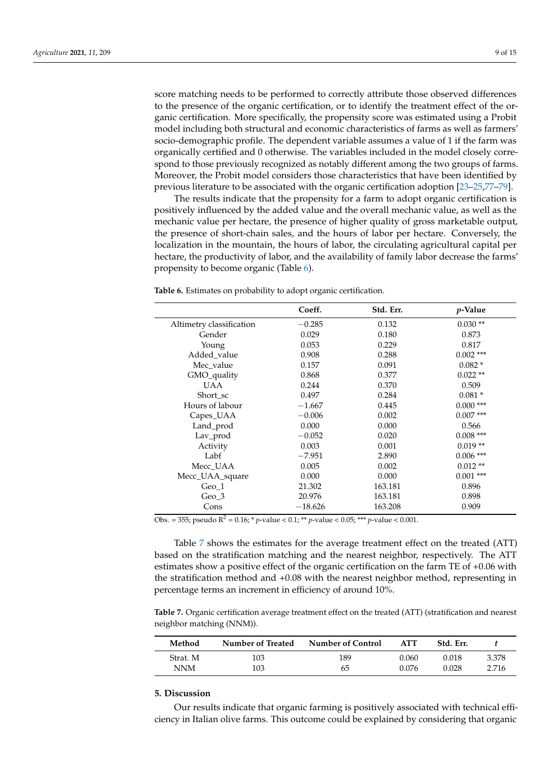score matching needs to be performed to correctly attribute those observed differences to the presence of the organic certification, or to identify the treatment effect of the organic certification. More specifically, the propensity score was estimated using a Probit model including both structural and economic characteristics of farms as well as farmers' socio-demographic profile. The dependent variable assumes a value of 1 if the farm was organically certified and 0 otherwise. The variables included in the model closely correspond to those previously recognized as notably different among the two groups of farms. Moreover, the Probit model considers those characteristics that have been identified by previous literature to be associated with the organic certification adoption [\[23](#page-11-21)[–25](#page-11-22)[,77–](#page-13-16)[79\]](#page-13-17).

The results indicate that the propensity for a farm to adopt organic certification is positively influenced by the added value and the overall mechanic value, as well as the mechanic value per hectare, the presence of higher quality of gross marketable output, the presence of short-chain sales, and the hours of labor per hectare. Conversely, the localization in the mountain, the hours of labor, the circulating agricultural capital per hectare, the productivity of labor, and the availability of family labor decrease the farms' propensity to become organic (Table [6\)](#page-8-1).

<span id="page-8-1"></span>**Table 6.** Estimates on probability to adopt organic certification.

|                          | Coeff.    | Std. Err. | <i>p</i> -Value |
|--------------------------|-----------|-----------|-----------------|
| Altimetry classification | $-0.285$  | 0.132     | $0.030**$       |
| Gender                   | 0.029     | 0.180     | 0.873           |
| Young                    | 0.053     | 0.229     | 0.817           |
| Added_value              | 0.908     | 0.288     | $0.002$ ***     |
| Mec_value                | 0.157     | 0.091     | $0.082*$        |
| GMO_quality              | 0.868     | 0.377     | $0.022**$       |
| UAA                      | 0.244     | 0.370     | 0.509           |
| Short sc                 | 0.497     | 0.284     | $0.081*$        |
| Hours of labour          | $-1.667$  | 0.445     | $0.000$ ***     |
| Capes_UAA                | $-0.006$  | 0.002     | $0.007$ ***     |
| Land_prod                | 0.000     | 0.000     | 0.566           |
| Lav_prod                 | $-0.052$  | 0.020     | $0.008$ ***     |
| Activity                 | 0.003     | 0.001     | $0.019**$       |
| Labf                     | $-7.951$  | 2.890     | $0.006$ ***     |
| Mecc UAA                 | 0.005     | 0.002     | $0.012**$       |
| Mecc_UAA_square          | 0.000     | 0.000     | $0.001$ ***     |
| Geo_1                    | 21.302    | 163.181   | 0.896           |
| Geo 3                    | 20.976    | 163.181   | 0.898           |
| Cons                     | $-18.626$ | 163.208   | 0.909           |

Obs. = 355; pseudo R<sup>2</sup> = 0.16; \* *p*-value < 0.1; \*\* *p*-value < 0.05; \*\*\* *p*-value < 0.001.

Table [7](#page-8-2) shows the estimates for the average treatment effect on the treated (ATT) based on the stratification matching and the nearest neighbor, respectively. The ATT estimates show a positive effect of the organic certification on the farm TE of +0.06 with the stratification method and +0.08 with the nearest neighbor method, representing in percentage terms an increment in efficiency of around 10%.

<span id="page-8-2"></span>**Table 7.** Organic certification average treatment effect on the treated (ATT) (stratification and nearest neighbor matching (NNM)).

| Method   | Number of Treated | Number of Control | <b>ATT</b> | Std. Err. |       |
|----------|-------------------|-------------------|------------|-----------|-------|
| Strat. M | 103               | 189               | 0.060      | 0.018     | 3.378 |
| NNM      | 103               | 65                | 0.076      | 0.028     | 2.716 |

## <span id="page-8-0"></span>**5. Discussion**

Our results indicate that organic farming is positively associated with technical efficiency in Italian olive farms. This outcome could be explained by considering that organic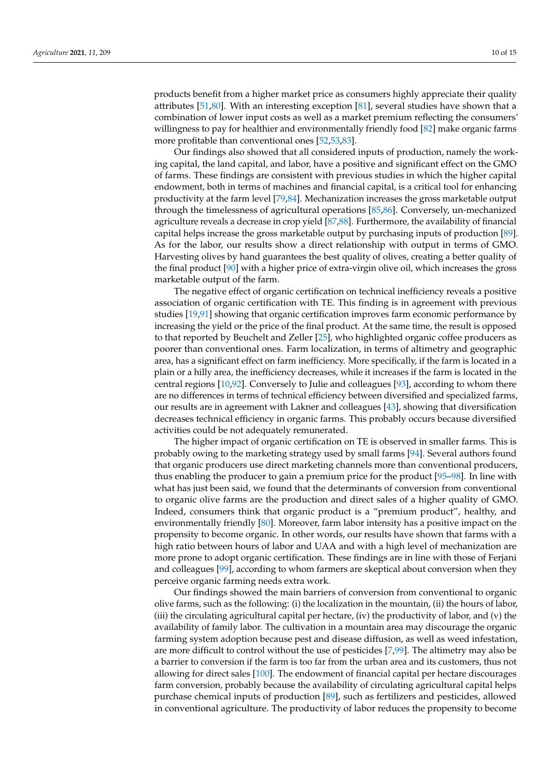products benefit from a higher market price as consumers highly appreciate their quality attributes [\[51](#page-12-20)[,80\]](#page-13-18). With an interesting exception [\[81\]](#page-13-19), several studies have shown that a combination of lower input costs as well as a market premium reflecting the consumers' willingness to pay for healthier and environmentally friendly food [\[82\]](#page-13-20) make organic farms more profitable than conventional ones [\[52,](#page-12-28)[53,](#page-12-21)[83\]](#page-13-21).

Our findings also showed that all considered inputs of production, namely the working capital, the land capital, and labor, have a positive and significant effect on the GMO of farms. These findings are consistent with previous studies in which the higher capital endowment, both in terms of machines and financial capital, is a critical tool for enhancing productivity at the farm level [\[79](#page-13-17)[,84\]](#page-13-22). Mechanization increases the gross marketable output through the timelessness of agricultural operations [\[85](#page-13-23)[,86\]](#page-13-24). Conversely, un-mechanized agriculture reveals a decrease in crop yield [\[87,](#page-13-25)[88\]](#page-13-26). Furthermore, the availability of financial capital helps increase the gross marketable output by purchasing inputs of production [\[89\]](#page-13-27). As for the labor, our results show a direct relationship with output in terms of GMO. Harvesting olives by hand guarantees the best quality of olives, creating a better quality of the final product [\[90\]](#page-14-0) with a higher price of extra-virgin olive oil, which increases the gross marketable output of the farm.

The negative effect of organic certification on technical inefficiency reveals a positive association of organic certification with TE. This finding is in agreement with previous studies [\[19](#page-11-17)[,91\]](#page-14-1) showing that organic certification improves farm economic performance by increasing the yield or the price of the final product. At the same time, the result is opposed to that reported by Beuchelt and Zeller [\[25\]](#page-11-22), who highlighted organic coffee producers as poorer than conventional ones. Farm localization, in terms of altimetry and geographic area, has a significant effect on farm inefficiency. More specifically, if the farm is located in a plain or a hilly area, the inefficiency decreases, while it increases if the farm is located in the central regions [\[10](#page-11-8)[,92\]](#page-14-2). Conversely to Julie and colleagues [\[93\]](#page-14-3), according to whom there are no differences in terms of technical efficiency between diversified and specialized farms, our results are in agreement with Lakner and colleagues [\[43\]](#page-12-13), showing that diversification decreases technical efficiency in organic farms. This probably occurs because diversified activities could be not adequately remunerated.

The higher impact of organic certification on TE is observed in smaller farms. This is probably owing to the marketing strategy used by small farms [\[94\]](#page-14-4). Several authors found that organic producers use direct marketing channels more than conventional producers, thus enabling the producer to gain a premium price for the product [\[95–](#page-14-5)[98\]](#page-14-6). In line with what has just been said, we found that the determinants of conversion from conventional to organic olive farms are the production and direct sales of a higher quality of GMO. Indeed, consumers think that organic product is a "premium product", healthy, and environmentally friendly [\[80\]](#page-13-18). Moreover, farm labor intensity has a positive impact on the propensity to become organic. In other words, our results have shown that farms with a high ratio between hours of labor and UAA and with a high level of mechanization are more prone to adopt organic certification. These findings are in line with those of Ferjani and colleagues [\[99\]](#page-14-7), according to whom farmers are skeptical about conversion when they perceive organic farming needs extra work.

Our findings showed the main barriers of conversion from conventional to organic olive farms, such as the following: (i) the localization in the mountain, (ii) the hours of labor, (iii) the circulating agricultural capital per hectare, (iv) the productivity of labor, and (v) the availability of family labor. The cultivation in a mountain area may discourage the organic farming system adoption because pest and disease diffusion, as well as weed infestation, are more difficult to control without the use of pesticides [\[7](#page-11-5)[,99\]](#page-14-7). The altimetry may also be a barrier to conversion if the farm is too far from the urban area and its customers, thus not allowing for direct sales [\[100\]](#page-14-8). The endowment of financial capital per hectare discourages farm conversion, probably because the availability of circulating agricultural capital helps purchase chemical inputs of production [\[89\]](#page-13-27), such as fertilizers and pesticides, allowed in conventional agriculture. The productivity of labor reduces the propensity to become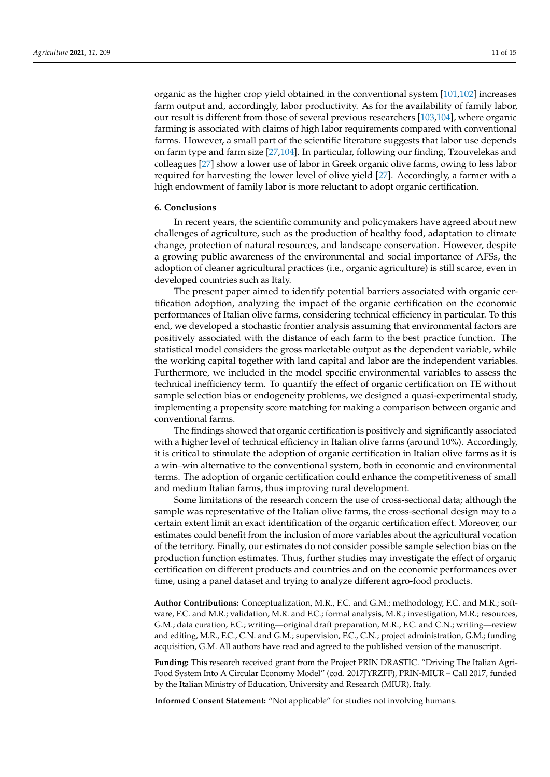organic as the higher crop yield obtained in the conventional system [\[101,](#page-14-9)[102\]](#page-14-10) increases farm output and, accordingly, labor productivity. As for the availability of family labor, our result is different from those of several previous researchers [\[103](#page-14-11)[,104\]](#page-14-12), where organic farming is associated with claims of high labor requirements compared with conventional farms. However, a small part of the scientific literature suggests that labor use depends on farm type and farm size [\[27,](#page-11-20)[104\]](#page-14-12). In particular, following our finding, Tzouvelekas and colleagues [\[27\]](#page-11-20) show a lower use of labor in Greek organic olive farms, owing to less labor required for harvesting the lower level of olive yield [\[27\]](#page-11-20). Accordingly, a farmer with a high endowment of family labor is more reluctant to adopt organic certification.

#### **6. Conclusions**

In recent years, the scientific community and policymakers have agreed about new challenges of agriculture, such as the production of healthy food, adaptation to climate change, protection of natural resources, and landscape conservation. However, despite a growing public awareness of the environmental and social importance of AFSs, the adoption of cleaner agricultural practices (i.e., organic agriculture) is still scarce, even in developed countries such as Italy.

The present paper aimed to identify potential barriers associated with organic certification adoption, analyzing the impact of the organic certification on the economic performances of Italian olive farms, considering technical efficiency in particular. To this end, we developed a stochastic frontier analysis assuming that environmental factors are positively associated with the distance of each farm to the best practice function. The statistical model considers the gross marketable output as the dependent variable, while the working capital together with land capital and labor are the independent variables. Furthermore, we included in the model specific environmental variables to assess the technical inefficiency term. To quantify the effect of organic certification on TE without sample selection bias or endogeneity problems, we designed a quasi-experimental study, implementing a propensity score matching for making a comparison between organic and conventional farms.

The findings showed that organic certification is positively and significantly associated with a higher level of technical efficiency in Italian olive farms (around 10%). Accordingly, it is critical to stimulate the adoption of organic certification in Italian olive farms as it is a win–win alternative to the conventional system, both in economic and environmental terms. The adoption of organic certification could enhance the competitiveness of small and medium Italian farms, thus improving rural development.

Some limitations of the research concern the use of cross-sectional data; although the sample was representative of the Italian olive farms, the cross-sectional design may to a certain extent limit an exact identification of the organic certification effect. Moreover, our estimates could benefit from the inclusion of more variables about the agricultural vocation of the territory. Finally, our estimates do not consider possible sample selection bias on the production function estimates. Thus, further studies may investigate the effect of organic certification on different products and countries and on the economic performances over time, using a panel dataset and trying to analyze different agro-food products.

**Author Contributions:** Conceptualization, M.R., F.C. and G.M.; methodology, F.C. and M.R.; software, F.C. and M.R.; validation, M.R. and F.C.; formal analysis, M.R.; investigation, M.R.; resources, G.M.; data curation, F.C.; writing—original draft preparation, M.R., F.C. and C.N.; writing—review and editing, M.R., F.C., C.N. and G.M.; supervision, F.C., C.N.; project administration, G.M.; funding acquisition, G.M. All authors have read and agreed to the published version of the manuscript.

**Funding:** This research received grant from the Project PRIN DRASTIC. "Driving The Italian Agri-Food System Into A Circular Economy Model" (cod. 2017JYRZFF), PRIN-MIUR – Call 2017, funded by the Italian Ministry of Education, University and Research (MIUR), Italy.

**Informed Consent Statement:** "Not applicable" for studies not involving humans.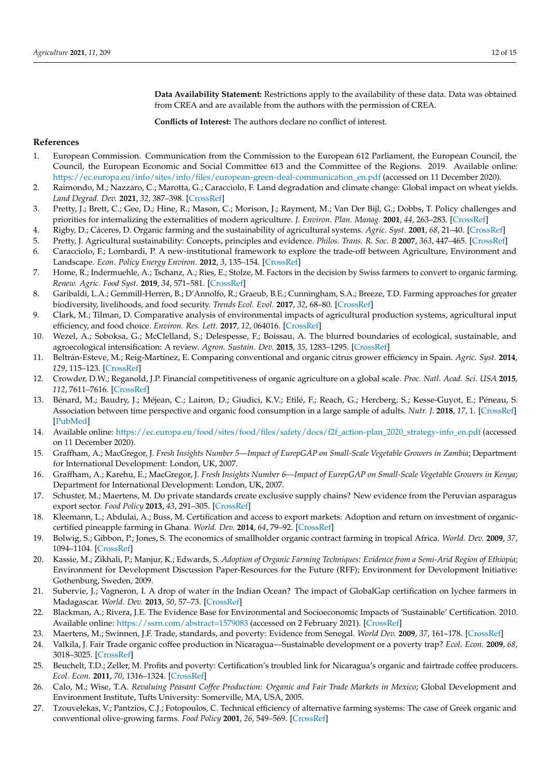**Data Availability Statement:** Restrictions apply to the availability of these data. Data was obtained from CREA and are available from the authors with the permission of CREA.

**Conflicts of Interest:** The authors declare no conflict of interest.

## **References**

- <span id="page-11-0"></span>1. European Commission. Communication from the Commission to the European 612 Parliament, the European Council, the Council, the European Economic and Social Committee 613 and the Committee of the Regions. 2019. Available online: [https://ec.europa.eu/info/sites/info/files/european-green-deal-communication\\_en.pdf](https://ec.europa.eu/info/sites/info/files/european-green-deal-communication_en.pdf) (accessed on 11 December 2020).
- <span id="page-11-1"></span>2. Raimondo, M.; Nazzaro, C.; Marotta, G.; Caracciolo, F. Land degradation and climate change: Global impact on wheat yields. *Land Degrad. Dev.* **2021**, *32*, 387–398. [\[CrossRef\]](http://doi.org/10.1002/ldr.3699)
- <span id="page-11-2"></span>3. Pretty, J.; Brett, C.; Gee, D.; Hine, R.; Mason, C.; Morison, J.; Rayment, M.; Van Der Bijl, G.; Dobbs, T. Policy challenges and priorities for internalizing the externalities of modern agriculture. *J. Environ. Plan. Manag.* **2001**, *44*, 263–283. [\[CrossRef\]](http://doi.org/10.1080/09640560123782)
- <span id="page-11-3"></span>4. Rigby, D.; Cáceres, D. Organic farming and the sustainability of agricultural systems. *Agric. Syst.* **2001**, *68*, 21–40. [\[CrossRef\]](http://doi.org/10.1016/S0308-521X(00)00060-3)
- 5. Pretty, J. Agricultural sustainability: Concepts, principles and evidence. *Philos. Trans. R. Soc. B* **2007**, *363*, 447–465. [\[CrossRef\]](http://doi.org/10.1098/rstb.2007.2163)
- <span id="page-11-4"></span>6. Caracciolo, F.; Lombardi, P. A new-institutional framework to explore the trade-off between Agriculture, Environment and Landscape. *Econ. Policy Energy Environ.* **2012**, *3*, 135–154. [\[CrossRef\]](http://doi.org/10.3280/EFE2012-003009)
- <span id="page-11-5"></span>7. Home, R.; Indermuehle, A.; Tschanz, A.; Ries, E.; Stolze, M. Factors in the decision by Swiss farmers to convert to organic farming. *Renew. Agric. Food Syst.* **2019**, *34*, 571–581. [\[CrossRef\]](http://doi.org/10.1017/S1742170518000121)
- <span id="page-11-7"></span>8. Garibaldi, L.A.; Gemmill-Herren, B.; D'Annolfo, R.; Graeub, B.E.; Cunningham, S.A.; Breeze, T.D. Farming approaches for greater biodiversity, livelihoods, and food security. *Trends Ecol. Evol.* **2017**, *32*, 68–80. [\[CrossRef\]](http://doi.org/10.1016/j.tree.2016.10.001)
- <span id="page-11-6"></span>9. Clark, M.; Tilman, D. Comparative analysis of environmental impacts of agricultural production systems, agricultural input efficiency, and food choice. *Environ. Res. Lett.* **2017**, *12*, 064016. [\[CrossRef\]](http://doi.org/10.1088/1748-9326/aa6cd5)
- <span id="page-11-8"></span>10. Wezel, A.; Soboksa, G.; McClelland, S.; Delespesse, F.; Boissau, A. The blurred boundaries of ecological, sustainable, and agroecological intensification: A review. *Agron. Sustain. Dev.* **2015**, *35*, 1283–1295. [\[CrossRef\]](http://doi.org/10.1007/s13593-015-0333-y)
- <span id="page-11-9"></span>11. Beltrán-Esteve, M.; Reig-Martínez, E. Comparing conventional and organic citrus grower efficiency in Spain. *Agric. Syst.* **2014**, *129*, 115–123. [\[CrossRef\]](http://doi.org/10.1016/j.agsy.2014.05.014)
- <span id="page-11-10"></span>12. Crowder, D.W.; Reganold, J.P. Financial competitiveness of organic agriculture on a global scale. *Proc. Natl. Acad. Sci. USA* **2015**, *112*, 7611–7616. [\[CrossRef\]](http://doi.org/10.1073/pnas.1423674112)
- <span id="page-11-11"></span>13. Bénard, M.; Baudry, J.; Méjean, C.; Lairon, D.; Giudici, K.V.; Etilé, F.; Reach, G.; Hercberg, S.; Kesse-Guyot, E.; Péneau, S. Association between time perspective and organic food consumption in a large sample of adults. *Nutr. J.* **2018**, *17*, 1. [\[CrossRef\]](http://doi.org/10.1186/s12937-017-0311-0) [\[PubMed\]](http://www.ncbi.nlm.nih.gov/pubmed/29304811)
- <span id="page-11-12"></span>14. Available online: [https://ec.europa.eu/food/sites/food/files/safety/docs/f2f\\_action-plan\\_2020\\_strategy-info\\_en.pdf](https://ec.europa.eu/food/sites/food/files/safety/docs/f2f_action-plan_2020_strategy-info_en.pdf) (accessed on 11 December 2020).
- <span id="page-11-13"></span>15. Graffham, A.; MacGregor, J. *Fresh Insights Number 5—Impact of EurepGAP on Small-Scale Vegetable Growers in Zambia*; Department for International Development: London, UK, 2007.
- 16. Graffham, A.; Karehu, E.; MacGregor, J. *Fresh Insights Number 6—Impact of EurepGAP on Small-Scale Vegetable Growers in Kenya*; Department for International Development: London, UK, 2007.
- <span id="page-11-14"></span>17. Schuster, M.; Maertens, M. Do private standards create exclusive supply chains? New evidence from the Peruvian asparagus export sector. *Food Policy* **2013**, *43*, 291–305. [\[CrossRef\]](http://doi.org/10.1016/j.foodpol.2013.10.004)
- <span id="page-11-15"></span>18. Kleemann, L.; Abdulai, A.; Buss, M. Certification and access to export markets: Adoption and return on investment of organiccertified pineapple farming in Ghana. *World. Dev.* **2014**, *64*, 79–92. [\[CrossRef\]](http://doi.org/10.1016/j.worlddev.2014.05.005)
- <span id="page-11-17"></span>19. Bolwig, S.; Gibbon, P.; Jones, S. The economics of smallholder organic contract farming in tropical Africa. *World. Dev.* **2009**, *37*, 1094–1104. [\[CrossRef\]](http://doi.org/10.1016/j.worlddev.2008.09.012)
- 20. Kassie, M.; Zikhali, P.; Manjur, K.; Edwards, S. *Adoption of Organic Farming Techniques: Evidence from a Semi-Arid Region of Ethiopia*; Environment for Development Discussion Paper-Resources for the Future (RFF); Environment for Development Initiative: Gothenburg, Sweden, 2009.
- <span id="page-11-16"></span>21. Subervie, J.; Vagneron, I. A drop of water in the Indian Ocean? The impact of GlobalGap certification on lychee farmers in Madagascar. *World. Dev.* **2013**, *50*, 57–73. [\[CrossRef\]](http://doi.org/10.1016/j.worlddev.2013.05.002)
- 22. Blackman, A.; Rivera, J.E. The Evidence Base for Environmental and Socioeconomic Impacts of 'Sustainable' Certification. 2010. Available online: <https://ssrn.com/abstract=1579083> (accessed on 2 February 2021). [\[CrossRef\]](http://doi.org/10.2139/ssrn.1579083)
- <span id="page-11-21"></span>23. Maertens, M.; Swinnen, J.F. Trade, standards, and poverty: Evidence from Senegal. *World Dev.* **2009**, *37*, 161–178. [\[CrossRef\]](http://doi.org/10.1016/j.worlddev.2008.04.006)
- <span id="page-11-18"></span>24. Valkila, J. Fair Trade organic coffee production in Nicaragua—Sustainable development or a poverty trap? *Ecol. Econ.* **2009**, *68*, 3018–3025. [\[CrossRef\]](http://doi.org/10.1016/j.ecolecon.2009.07.002)
- <span id="page-11-22"></span>25. Beuchelt, T.D.; Zeller, M. Profits and poverty: Certification's troubled link for Nicaragua's organic and fairtrade coffee producers. *Ecol. Econ.* **2011**, *70*, 1316–1324. [\[CrossRef\]](http://doi.org/10.1016/j.ecolecon.2011.01.005)
- <span id="page-11-19"></span>26. Calo, M.; Wise, T.A. *Revaluing Peasant Coffee Production: Organic and Fair Trade Markets in Mexico*; Global Development and Environment Institute, Tufts University: Somerville, MA, USA, 2005.
- <span id="page-11-20"></span>27. Tzouvelekas, V.; Pantzios, C.J.; Fotopoulos, C. Technical efficiency of alternative farming systems: The case of Greek organic and conventional olive-growing farms. *Food Policy* **2001**, *26*, 549–569. [\[CrossRef\]](http://doi.org/10.1016/S0306-9192(01)00007-0)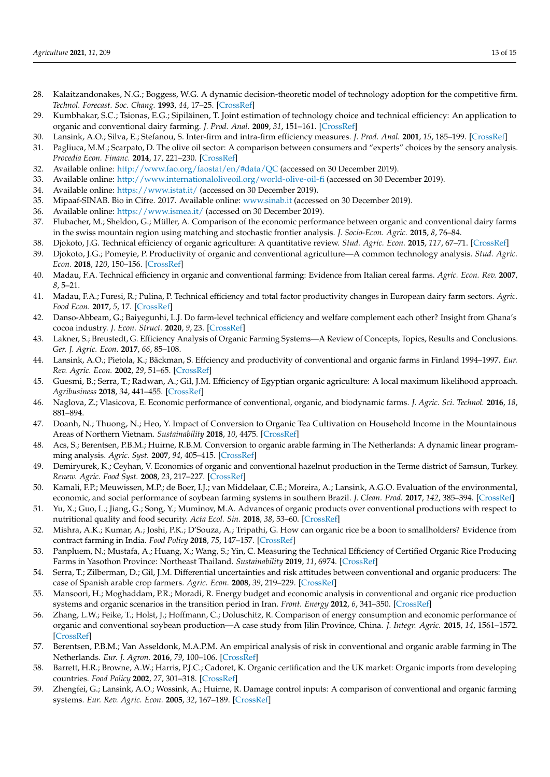- <span id="page-12-0"></span>28. Kalaitzandonakes, N.G.; Boggess, W.G. A dynamic decision-theoretic model of technology adoption for the competitive firm. *Technol. Forecast. Soc. Chang.* **1993**, *44*, 17–25. [\[CrossRef\]](http://doi.org/10.1016/0040-1625(93)90003-P)
- <span id="page-12-1"></span>29. Kumbhakar, S.C.; Tsionas, E.G.; Sipiläinen, T. Joint estimation of technology choice and technical efficiency: An application to organic and conventional dairy farming. *J. Prod. Anal.* **2009**, *31*, 151–161. [\[CrossRef\]](http://doi.org/10.1007/s11123-008-0081-y)
- <span id="page-12-2"></span>30. Lansink, A.O.; Silva, E.; Stefanou, S. Inter-firm and intra-firm efficiency measures. *J. Prod. Anal.* **2001**, *15*, 185–199. [\[CrossRef\]](http://doi.org/10.1023/A:1011124308349)
- <span id="page-12-3"></span>31. Pagliuca, M.M.; Scarpato, D. The olive oil sector: A comparison between consumers and "experts" choices by the sensory analysis. *Procedia Econ. Financ.* **2014**, *17*, 221–230. [\[CrossRef\]](http://doi.org/10.1016/S2212-5671(14)00897-1)
- <span id="page-12-4"></span>32. Available online: <http://www.fao.org/faostat/en/#data/QC> (accessed on 30 December 2019).
- <span id="page-12-5"></span>33. Available online: <http://www.internationaloliveoil.org/world-olive-oil-fi> (accessed on 30 December 2019).
- <span id="page-12-6"></span>34. Available online: <https://www.istat.it/> (accessed on 30 December 2019).
- <span id="page-12-7"></span>35. Mipaaf-SINAB. Bio in Cifre. 2017. Available online: <www.sinab.it> (accessed on 30 December 2019).
- <span id="page-12-8"></span>36. Available online: <https://www.ismea.it/> (accessed on 30 December 2019).
- <span id="page-12-9"></span>37. Flubacher, M.; Sheldon, G.; Müller, A. Comparison of the economic performance between organic and conventional dairy farms in the swiss mountain region using matching and stochastic frontier analysis. *J. Socio-Econ. Agric.* **2015**, *8*, 76–84.
- 38. Djokoto, J.G. Technical efficiency of organic agriculture: A quantitative review. *Stud. Agric. Econ.* **2015**, *117*, 67–71. [\[CrossRef\]](http://doi.org/10.7896/j.1512)
- <span id="page-12-10"></span>39. Djokoto, J.G.; Pomeyie, P. Productivity of organic and conventional agriculture—A common technology analysis. *Stud. Agric. Econ.* **2018**, *120*, 150–156. [\[CrossRef\]](http://doi.org/10.7896/j.1808)
- <span id="page-12-11"></span>40. Madau, F.A. Technical efficiency in organic and conventional farming: Evidence from Italian cereal farms. *Agric. Econ. Rev.* **2007**, *8*, 5–21.
- 41. Madau, F.A.; Furesi, R.; Pulina, P. Technical efficiency and total factor productivity changes in European dairy farm sectors. *Agric. Food Econ.* **2017**, *5*, 17. [\[CrossRef\]](http://doi.org/10.1186/s40100-017-0085-x)
- <span id="page-12-12"></span>42. Danso-Abbeam, G.; Baiyegunhi, L.J. Do farm-level technical efficiency and welfare complement each other? Insight from Ghana's cocoa industry. *J. Econ. Struct.* **2020**, *9*, 23. [\[CrossRef\]](http://doi.org/10.1186/s40008-020-00200-w)
- <span id="page-12-13"></span>43. Lakner, S.; Breustedt, G. Efficiency Analysis of Organic Farming Systems—A Review of Concepts, Topics, Results and Conclusions. *Ger. J. Agric. Econ.* **2017**, *66*, 85–108.
- <span id="page-12-14"></span>44. Lansink, A.O.; Pietola, K.; Bäckman, S. Effciency and productivity of conventional and organic farms in Finland 1994–1997. *Eur. Rev. Agric. Econ.* **2002**, *29*, 51–65. [\[CrossRef\]](http://doi.org/10.1093/erae/29.1.51)
- <span id="page-12-15"></span>45. Guesmi, B.; Serra, T.; Radwan, A.; Gil, J.M. Efficiency of Egyptian organic agriculture: A local maximum likelihood approach. *Agribusiness* **2018**, *34*, 441–455. [\[CrossRef\]](http://doi.org/10.1002/agr.21520)
- <span id="page-12-16"></span>46. Naglova, Z.; Vlasicova, E. Economic performance of conventional, organic, and biodynamic farms. *J. Agric. Sci. Technol.* **2016**, *18*, 881–894.
- <span id="page-12-17"></span>47. Doanh, N.; Thuong, N.; Heo, Y. Impact of Conversion to Organic Tea Cultivation on Household Income in the Mountainous Areas of Northern Vietnam. *Sustainability* **2018**, *10*, 4475. [\[CrossRef\]](http://doi.org/10.3390/su10124475)
- <span id="page-12-18"></span>48. Acs, S.; Berentsen, P.B.M.; Huirne, R.B.M. Conversion to organic arable farming in The Netherlands: A dynamic linear programming analysis. *Agric. Syst.* **2007**, *94*, 405–415. [\[CrossRef\]](http://doi.org/10.1016/j.agsy.2006.11.002)
- 49. Demiryurek, K.; Ceyhan, V. Economics of organic and conventional hazelnut production in the Terme district of Samsun, Turkey. *Renew. Agric. Food Syst.* **2008**, *23*, 217–227. [\[CrossRef\]](http://doi.org/10.1017/S1742170508002251)
- <span id="page-12-19"></span>50. Kamali, F.P.; Meuwissen, M.P.; de Boer, I.J.; van Middelaar, C.E.; Moreira, A.; Lansink, A.G.O. Evaluation of the environmental, economic, and social performance of soybean farming systems in southern Brazil. *J. Clean. Prod.* **2017**, *142*, 385–394. [\[CrossRef\]](http://doi.org/10.1016/j.jclepro.2016.03.135)
- <span id="page-12-20"></span>51. Yu, X.; Guo, L.; Jiang, G.; Song, Y.; Muminov, M.A. Advances of organic products over conventional productions with respect to nutritional quality and food security. *Acta Ecol. Sin.* **2018**, *38*, 53–60. [\[CrossRef\]](http://doi.org/10.1016/j.chnaes.2018.01.009)
- <span id="page-12-28"></span>52. Mishra, A.K.; Kumar, A.; Joshi, P.K.; D'Souza, A.; Tripathi, G. How can organic rice be a boon to smallholders? Evidence from contract farming in India. *Food Policy* **2018**, *75*, 147–157. [\[CrossRef\]](http://doi.org/10.1016/j.foodpol.2018.01.007)
- <span id="page-12-21"></span>53. Panpluem, N.; Mustafa, A.; Huang, X.; Wang, S.; Yin, C. Measuring the Technical Efficiency of Certified Organic Rice Producing Farms in Yasothon Province: Northeast Thailand. *Sustainability* **2019**, *11*, 6974. [\[CrossRef\]](http://doi.org/10.3390/su11246974)
- <span id="page-12-22"></span>54. Serra, T.; Zilberman, D.; Gil, J.M. Differential uncertainties and risk attitudes between conventional and organic producers: The case of Spanish arable crop farmers. *Agric. Econ.* **2008**, *39*, 219–229. [\[CrossRef\]](http://doi.org/10.1111/j.1574-0862.2008.00329.x)
- <span id="page-12-23"></span>55. Mansoori, H.; Moghaddam, P.R.; Moradi, R. Energy budget and economic analysis in conventional and organic rice production systems and organic scenarios in the transition period in Iran. *Front. Energy* **2012**, *6*, 341–350. [\[CrossRef\]](http://doi.org/10.1007/s11708-012-0206-x)
- <span id="page-12-24"></span>56. Zhang, L.W.; Feike, T.; Holst, J.; Hoffmann, C.; Doluschitz, R. Comparison of energy consumption and economic performance of organic and conventional soybean production—A case study from Jilin Province, China. *J. Integr. Agric.* **2015**, *14*, 1561–1572. [\[CrossRef\]](http://doi.org/10.1016/S2095-3119(15)61131-5)
- <span id="page-12-25"></span>57. Berentsen, P.B.M.; Van Asseldonk, M.A.P.M. An empirical analysis of risk in conventional and organic arable farming in The Netherlands. *Eur. J. Agron.* **2016**, *79*, 100–106. [\[CrossRef\]](http://doi.org/10.1016/j.eja.2016.06.002)
- <span id="page-12-26"></span>58. Barrett, H.R.; Browne, A.W.; Harris, P.J.C.; Cadoret, K. Organic certification and the UK market: Organic imports from developing countries. *Food Policy* **2002**, *27*, 301–318. [\[CrossRef\]](http://doi.org/10.1016/S0306-9192(02)00036-2)
- <span id="page-12-27"></span>59. Zhengfei, G.; Lansink, A.O.; Wossink, A.; Huirne, R. Damage control inputs: A comparison of conventional and organic farming systems. *Eur. Rev. Agric. Econ.* **2005**, *32*, 167–189. [\[CrossRef\]](http://doi.org/10.1093/eurrag/jbi015)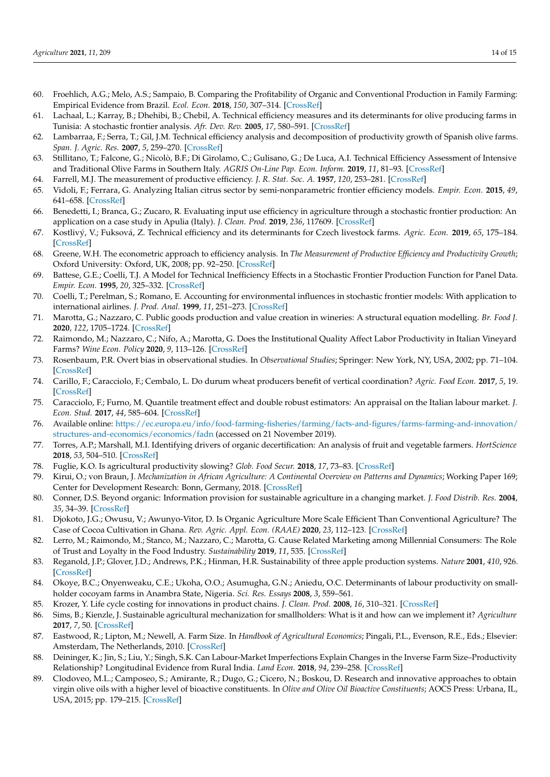- <span id="page-13-0"></span>60. Froehlich, A.G.; Melo, A.S.; Sampaio, B. Comparing the Profitability of Organic and Conventional Production in Family Farming: Empirical Evidence from Brazil. *Ecol. Econ.* **2018**, *150*, 307–314. [\[CrossRef\]](http://doi.org/10.1016/j.ecolecon.2018.04.022)
- <span id="page-13-1"></span>61. Lachaal, L.; Karray, B.; Dhehibi, B.; Chebil, A. Technical efficiency measures and its determinants for olive producing farms in Tunisia: A stochastic frontier analysis. *Afr. Dev. Rev.* **2005**, *17*, 580–591. [\[CrossRef\]](http://doi.org/10.1111/j.1017-6772.2006.00129.x)
- 62. Lambarraa, F.; Serra, T.; Gil, J.M. Technical efficiency analysis and decomposition of productivity growth of Spanish olive farms. *Span. J. Agric. Res.* **2007**, *5*, 259–270. [\[CrossRef\]](http://doi.org/10.5424/sjar/2007053-247)
- <span id="page-13-2"></span>63. Stillitano, T.; Falcone, G.; Nicolò, B.F.; Di Girolamo, C.; Gulisano, G.; De Luca, A.I. Technical Efficiency Assessment of Intensive and Traditional Olive Farms in Southern Italy. *AGRIS On-Line Pap. Econ. Inform.* **2019**, *11*, 81–93. [\[CrossRef\]](http://doi.org/10.7160/aol.2019.110208)
- <span id="page-13-3"></span>64. Farrell, M.J. The measurement of productive efficiency. *J. R. Stat. Soc. A.* **1957**, *120*, 253–281. [\[CrossRef\]](http://doi.org/10.2307/2343100)
- <span id="page-13-4"></span>65. Vidoli, F.; Ferrara, G. Analyzing Italian citrus sector by semi-nonparametric frontier efficiency models. *Empir. Econ.* **2015**, *49*, 641–658. [\[CrossRef\]](http://doi.org/10.1007/s00181-014-0879-6)
- <span id="page-13-5"></span>66. Benedetti, I.; Branca, G.; Zucaro, R. Evaluating input use efficiency in agriculture through a stochastic frontier production: An application on a case study in Apulia (Italy). *J. Clean. Prod.* **2019**, *236*, 117609. [\[CrossRef\]](http://doi.org/10.1016/j.jclepro.2019.117609)
- <span id="page-13-6"></span>67. Kostlivý, V.; Fuksová, Z. Technical efficiency and its determinants for Czech livestock farms. *Agric. Econ.* **2019**, *65*, 175–184. [\[CrossRef\]](http://doi.org/10.17221/162/2018-AGRICECON)
- <span id="page-13-7"></span>68. Greene, W.H. The econometric approach to efficiency analysis. In *The Measurement of Productive Efficiency and Productivity Growth*; Oxford University: Oxford, UK, 2008; pp. 92–250. [\[CrossRef\]](http://doi.org/10.1093/acprof:oso/9780195183528.003.0002)
- <span id="page-13-8"></span>69. Battese, G.E.; Coelli, T.J. A Model for Technical Inefficiency Effects in a Stochastic Frontier Production Function for Panel Data. *Empir. Econ.* **1995**, *20*, 325–332. [\[CrossRef\]](http://doi.org/10.1007/BF01205442)
- <span id="page-13-9"></span>70. Coelli, T.; Perelman, S.; Romano, E. Accounting for environmental influences in stochastic frontier models: With application to international airlines. *J. Prod. Anal.* **1999**, *11*, 251–273. [\[CrossRef\]](http://doi.org/10.1023/A:1007794121363)
- <span id="page-13-10"></span>71. Marotta, G.; Nazzaro, C. Public goods production and value creation in wineries: A structural equation modelling. *Br. Food J.* **2020**, *122*, 1705–1724. [\[CrossRef\]](http://doi.org/10.1108/BFJ-08-2019-0656)
- <span id="page-13-11"></span>72. Raimondo, M.; Nazzaro, C.; Nifo, A.; Marotta, G. Does the Institutional Quality Affect Labor Productivity in Italian Vineyard Farms? *Wine Econ. Policy* **2020**, *9*, 113–126. [\[CrossRef\]](http://doi.org/10.36253/wep-7833)
- <span id="page-13-12"></span>73. Rosenbaum, P.R. Overt bias in observational studies. In *Observational Studies*; Springer: New York, NY, USA, 2002; pp. 71–104. [\[CrossRef\]](http://doi.org/10.1007/978-1-4757-3692-2_3)
- <span id="page-13-13"></span>74. Carillo, F.; Caracciolo, F.; Cembalo, L. Do durum wheat producers benefit of vertical coordination? *Agric. Food Econ.* **2017**, *5*, 19. [\[CrossRef\]](http://doi.org/10.1186/s40100-017-0088-7)
- <span id="page-13-14"></span>75. Caracciolo, F.; Furno, M. Quantile treatment effect and double robust estimators: An appraisal on the Italian labour market. *J. Econ. Stud.* **2017**, *44*, 585–604. [\[CrossRef\]](http://doi.org/10.1108/JES-02-2016-0026)
- <span id="page-13-15"></span>76. Available online: [https://ec.europa.eu/info/food-farming-fisheries/farming/facts-and-figures/farms-farming-and-innovation/](https://ec.europa.eu/info/food-farming-fisheries/farming/facts-and-figures/farms-farming-and-innovation/structures-and-economics/economics/fadn) [structures-and-economics/economics/fadn](https://ec.europa.eu/info/food-farming-fisheries/farming/facts-and-figures/farms-farming-and-innovation/structures-and-economics/economics/fadn) (accessed on 21 November 2019).
- <span id="page-13-16"></span>77. Torres, A.P.; Marshall, M.I. Identifying drivers of organic decertification: An analysis of fruit and vegetable farmers. *HortScience* **2018**, *53*, 504–510. [\[CrossRef\]](http://doi.org/10.21273/HORTSCI12792-17)
- 78. Fuglie, K.O. Is agricultural productivity slowing? *Glob. Food Secur.* **2018**, *17*, 73–83. [\[CrossRef\]](http://doi.org/10.1016/j.gfs.2018.05.001)
- <span id="page-13-17"></span>79. Kirui, O.; von Braun, J. *Mechanization in African Agriculture: A Continental Overview on Patterns and Dynamics*; Working Paper 169; Center for Development Research: Bonn, Germany, 2018. [\[CrossRef\]](http://doi.org/10.2139/ssrn.3194466)
- <span id="page-13-18"></span>80. Conner, D.S. Beyond organic: Information provision for sustainable agriculture in a changing market. *J. Food Distrib. Res.* **2004**, *35*, 34–39. [\[CrossRef\]](http://doi.org/10.22004/ag.econ.27137)
- <span id="page-13-19"></span>81. Djokoto, J.G.; Owusu, V.; Awunyo-Vitor, D. Is Organic Agriculture More Scale Efficient Than Conventional Agriculture? The Case of Cocoa Cultivation in Ghana. *Rev. Agric. Appl. Econ. (RAAE)* **2020**, *23*, 112–123. [\[CrossRef\]](http://doi.org/10.15414/raae.2020.23.02.112-123)
- <span id="page-13-20"></span>82. Lerro, M.; Raimondo, M.; Stanco, M.; Nazzaro, C.; Marotta, G. Cause Related Marketing among Millennial Consumers: The Role of Trust and Loyalty in the Food Industry. *Sustainability* **2019**, *11*, 535. [\[CrossRef\]](http://doi.org/10.3390/su11020535)
- <span id="page-13-21"></span>83. Reganold, J.P.; Glover, J.D.; Andrews, P.K.; Hinman, H.R. Sustainability of three apple production systems. *Nature* **2001**, *410*, 926. [\[CrossRef\]](http://doi.org/10.1038/35073574)
- <span id="page-13-22"></span>84. Okoye, B.C.; Onyenweaku, C.E.; Ukoha, O.O.; Asumugha, G.N.; Aniedu, O.C. Determinants of labour productivity on smallholder cocoyam farms in Anambra State, Nigeria. *Sci. Res. Essays* **2008**, *3*, 559–561.
- <span id="page-13-23"></span>85. Krozer, Y. Life cycle costing for innovations in product chains. *J. Clean. Prod.* **2008**, *16*, 310–321. [\[CrossRef\]](http://doi.org/10.1016/j.jclepro.2006.07.040)
- <span id="page-13-24"></span>86. Sims, B.; Kienzle, J. Sustainable agricultural mechanization for smallholders: What is it and how can we implement it? *Agriculture* **2017**, *7*, 50. [\[CrossRef\]](http://doi.org/10.3390/agriculture7060050)
- <span id="page-13-25"></span>87. Eastwood, R.; Lipton, M.; Newell, A. Farm Size. In *Handbook of Agricultural Economics*; Pingali, P.L., Evenson, R.E., Eds.; Elsevier: Amsterdam, The Netherlands, 2010. [\[CrossRef\]](http://doi.org/10.1016/S1574-0072(09)04065-1)
- <span id="page-13-26"></span>88. Deininger, K.; Jin, S.; Liu, Y.; Singh, S.K. Can Labour-Market Imperfections Explain Changes in the Inverse Farm Size–Productivity Relationship? Longitudinal Evidence from Rural India. *Land Econ.* **2018**, *94*, 239–258. [\[CrossRef\]](http://doi.org/10.3368/le.94.2.239)
- <span id="page-13-27"></span>89. Clodoveo, M.L.; Camposeo, S.; Amirante, R.; Dugo, G.; Cicero, N.; Boskou, D. Research and innovative approaches to obtain virgin olive oils with a higher level of bioactive constituents. In *Olive and Olive Oil Bioactive Constituents*; AOCS Press: Urbana, IL, USA, 2015; pp. 179–215. [\[CrossRef\]](http://doi.org/10.1016/B978-1-63067-041-2.50013-6)